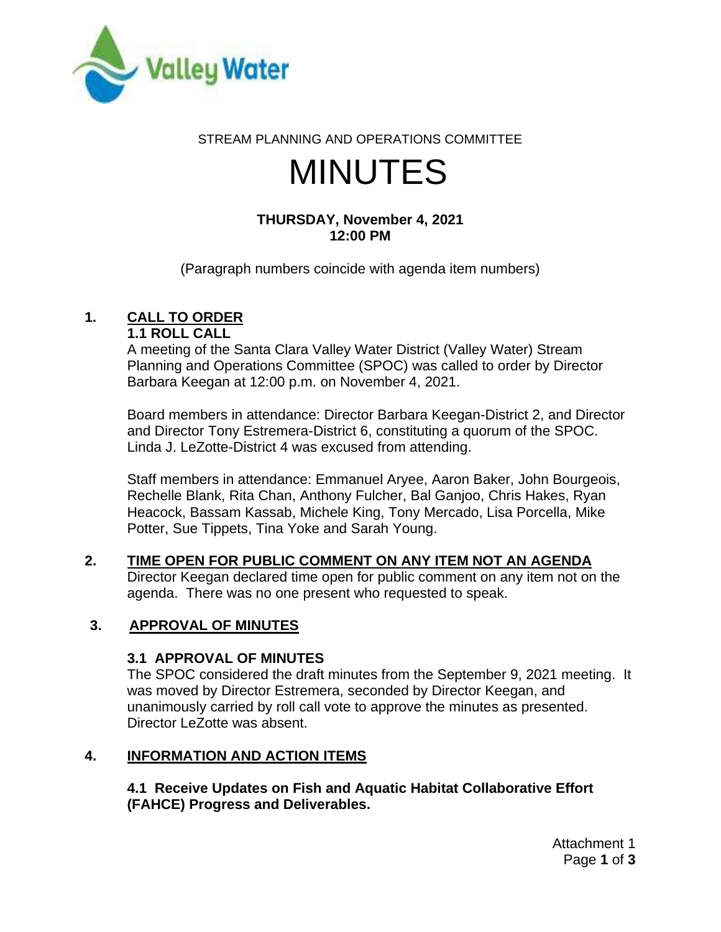

#### STREAM PLANNING AND OPERATIONS COMMITTEE

# MINUTES

# **THURSDAY, November 4, 2021 12:00 PM**

(Paragraph numbers coincide with agenda item numbers)

# **1. CALL TO ORDER**

#### **1.1 ROLL CALL**

A meeting of the Santa Clara Valley Water District (Valley Water) Stream Planning and Operations Committee (SPOC) was called to order by Director Barbara Keegan at 12:00 p.m. on November 4, 2021.

Board members in attendance: Director Barbara Keegan-District 2, and Director and Director Tony Estremera-District 6, constituting a quorum of the SPOC. Linda J. LeZotte-District 4 was excused from attending.

Staff members in attendance: Emmanuel Aryee, Aaron Baker, John Bourgeois, Rechelle Blank, Rita Chan, Anthony Fulcher, Bal Ganjoo, Chris Hakes, Ryan Heacock, Bassam Kassab, Michele King, Tony Mercado, Lisa Porcella, Mike Potter, Sue Tippets, Tina Yoke and Sarah Young.

#### **2. TIME OPEN FOR PUBLIC COMMENT ON ANY ITEM NOT AN AGENDA** Director Keegan declared time open for public comment on any item not on the agenda. There was no one present who requested to speak.

# **3. APPROVAL OF MINUTES**

# **3.1 APPROVAL OF MINUTES**

The SPOC considered the draft minutes from the September 9, 2021 meeting. It was moved by Director Estremera, seconded by Director Keegan, and unanimously carried by roll call vote to approve the minutes as presented. Director LeZotte was absent.

# **4. INFORMATION AND ACTION ITEMS**

**4.1 Receive Updates on Fish and Aquatic Habitat Collaborative Effort (FAHCE) Progress and Deliverables.**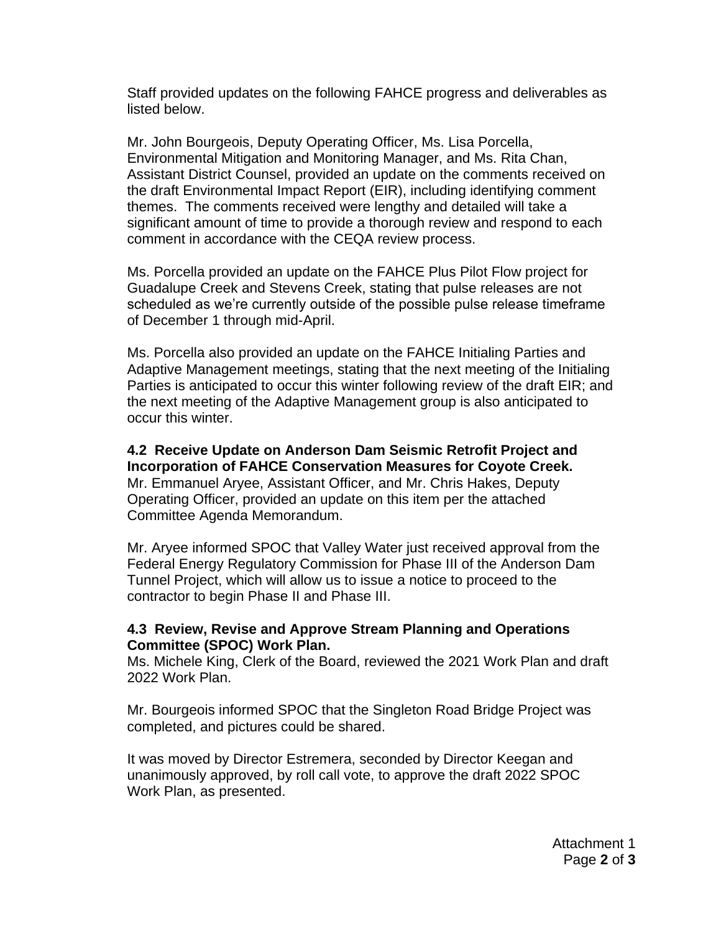Staff provided updates on the following FAHCE progress and deliverables as listed below.

Mr. John Bourgeois, Deputy Operating Officer, Ms. Lisa Porcella, Environmental Mitigation and Monitoring Manager, and Ms. Rita Chan, Assistant District Counsel, provided an update on the comments received on the draft Environmental Impact Report (EIR), including identifying comment themes. The comments received were lengthy and detailed will take a significant amount of time to provide a thorough review and respond to each comment in accordance with the CEQA review process.

Ms. Porcella provided an update on the FAHCE Plus Pilot Flow project for Guadalupe Creek and Stevens Creek, stating that pulse releases are not scheduled as we're currently outside of the possible pulse release timeframe of December 1 through mid-April.

Ms. Porcella also provided an update on the FAHCE Initialing Parties and Adaptive Management meetings, stating that the next meeting of the Initialing Parties is anticipated to occur this winter following review of the draft EIR; and the next meeting of the Adaptive Management group is also anticipated to occur this winter.

**4.2 Receive Update on Anderson Dam Seismic Retrofit Project and Incorporation of FAHCE Conservation Measures for Coyote Creek.** Mr. Emmanuel Aryee, Assistant Officer, and Mr. Chris Hakes, Deputy Operating Officer, provided an update on this item per the attached Committee Agenda Memorandum.

Mr. Aryee informed SPOC that Valley Water just received approval from the Federal Energy Regulatory Commission for Phase III of the Anderson Dam Tunnel Project, which will allow us to issue a notice to proceed to the contractor to begin Phase II and Phase III.

#### **4.3 Review, Revise and Approve Stream Planning and Operations Committee (SPOC) Work Plan.**

Ms. Michele King, Clerk of the Board, reviewed the 2021 Work Plan and draft 2022 Work Plan.

Mr. Bourgeois informed SPOC that the Singleton Road Bridge Project was completed, and pictures could be shared.

It was moved by Director Estremera, seconded by Director Keegan and unanimously approved, by roll call vote, to approve the draft 2022 SPOC Work Plan, as presented.